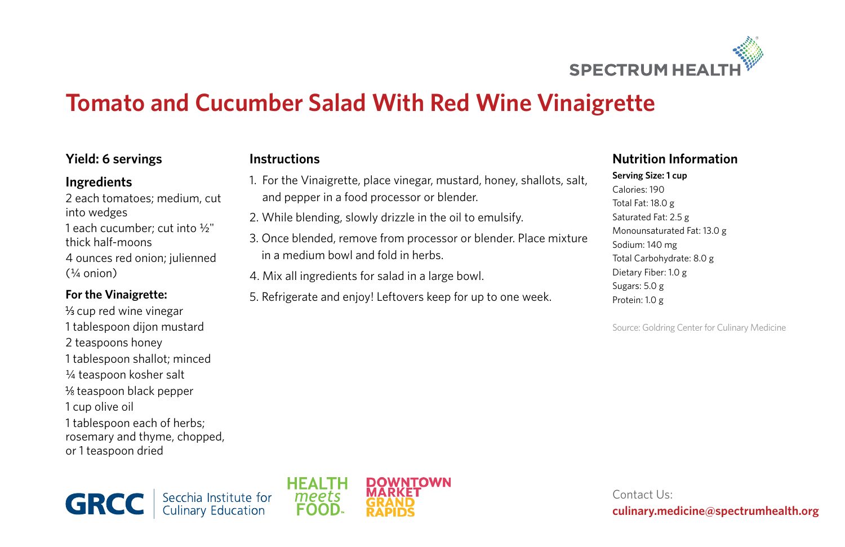

# **Tomato and Cucumber Salad With Red Wine Vinaigrette**

## **Yield: 6 servings**

#### **Ingredients**

2 each tomatoes; medium, cut into wedges 1 each cucumber; cut into ½" thick half-moons 4 ounces red onion; julienned  $($ <sup>1 $/$ </sup>a onion)

#### **For the Vinaigrette:**

 $\frac{1}{3}$  cup red wine vinegar 1 tablespoon dijon mustard 2 teaspoons honey 1 tablespoon shallot; minced ¼ teaspoon kosher salt  $\frac{1}{8}$  teaspoon black pepper 1 cup olive oil 1 tablespoon each of herbs; rosemary and thyme, chopped, or 1 teaspoon dried

# **Instructions**

- 1. For the Vinaigrette, place vinegar, mustard, honey, shallots, salt, and pepper in a food processor or blender.
- 2. While blending, slowly drizzle in the oil to emulsify.
- 3. Once blended, remove from processor or blender. Place mixture in a medium bowl and fold in herbs.
- 4. Mix all ingredients for salad in a large bowl.
- 5. Refrigerate and enjoy! Leftovers keep for up to one week.

## **Nutrition Information**

**Serving Size: 1 cup** Calories: 190 Total Fat: 18.0 g Saturated Fat: 2.5 g Monounsaturated Fat: 13.0 g Sodium: 140 mg Total Carbohydrate: 8.0 g Dietary Fiber: 1.0 g Sugars: 5.0 g Protein: 1.0 g

Source: Goldring Center for Culinary Medicine

Secchia Institute for<br>Culinary Education **GRCC** 



Contact Us: **culinary.medicine@spectrumhealth.org**